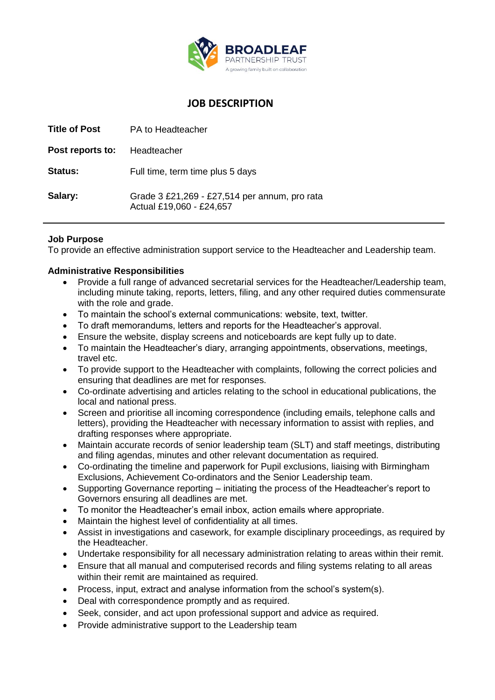

## **JOB DESCRIPTION**

| <b>Title of Post</b> | PA to Headteacher                                                         |
|----------------------|---------------------------------------------------------------------------|
| Post reports to:     | Headteacher                                                               |
| <b>Status:</b>       | Full time, term time plus 5 days                                          |
| Salary:              | Grade 3 £21,269 - £27,514 per annum, pro rata<br>Actual £19,060 - £24,657 |

## **Job Purpose**

To provide an effective administration support service to the Headteacher and Leadership team.

## **Administrative Responsibilities**

- Provide a full range of advanced secretarial services for the Headteacher/Leadership team, including minute taking, reports, letters, filing, and any other required duties commensurate with the role and grade.
- To maintain the school's external communications: website, text, twitter.
- To draft memorandums, letters and reports for the Headteacher's approval.
- Ensure the website, display screens and noticeboards are kept fully up to date.
- To maintain the Headteacher's diary, arranging appointments, observations, meetings, travel etc.
- To provide support to the Headteacher with complaints, following the correct policies and ensuring that deadlines are met for responses.
- Co-ordinate advertising and articles relating to the school in educational publications, the local and national press.
- Screen and prioritise all incoming correspondence (including emails, telephone calls and letters), providing the Headteacher with necessary information to assist with replies, and drafting responses where appropriate.
- Maintain accurate records of senior leadership team (SLT) and staff meetings, distributing and filing agendas, minutes and other relevant documentation as required.
- Co-ordinating the timeline and paperwork for Pupil exclusions, liaising with Birmingham Exclusions, Achievement Co-ordinators and the Senior Leadership team.
- Supporting Governance reporting initiating the process of the Headteacher's report to Governors ensuring all deadlines are met.
- To monitor the Headteacher's email inbox, action emails where appropriate.
- Maintain the highest level of confidentiality at all times.
- Assist in investigations and casework, for example disciplinary proceedings, as required by the Headteacher.
- Undertake responsibility for all necessary administration relating to areas within their remit.
- Ensure that all manual and computerised records and filing systems relating to all areas within their remit are maintained as required.
- Process, input, extract and analyse information from the school's system(s).
- Deal with correspondence promptly and as required.
- Seek, consider, and act upon professional support and advice as required.
- Provide administrative support to the Leadership team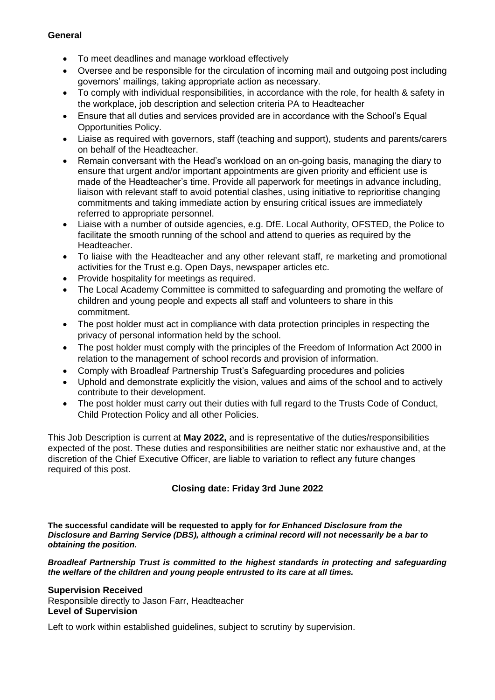#### **General**

- To meet deadlines and manage workload effectively
- Oversee and be responsible for the circulation of incoming mail and outgoing post including governors' mailings, taking appropriate action as necessary.
- To comply with individual responsibilities, in accordance with the role, for health & safety in the workplace, job description and selection criteria PA to Headteacher
- Ensure that all duties and services provided are in accordance with the School's Equal Opportunities Policy.
- Liaise as required with governors, staff (teaching and support), students and parents/carers on behalf of the Headteacher.
- Remain conversant with the Head's workload on an on-going basis, managing the diary to ensure that urgent and/or important appointments are given priority and efficient use is made of the Headteacher's time. Provide all paperwork for meetings in advance including, liaison with relevant staff to avoid potential clashes, using initiative to reprioritise changing commitments and taking immediate action by ensuring critical issues are immediately referred to appropriate personnel.
- Liaise with a number of outside agencies, e.g. DfE. Local Authority, OFSTED, the Police to facilitate the smooth running of the school and attend to queries as required by the Headteacher.
- To liaise with the Headteacher and any other relevant staff, re marketing and promotional activities for the Trust e.g. Open Days, newspaper articles etc.
- Provide hospitality for meetings as required.
- The Local Academy Committee is committed to safeguarding and promoting the welfare of children and young people and expects all staff and volunteers to share in this commitment.
- The post holder must act in compliance with data protection principles in respecting the privacy of personal information held by the school.
- The post holder must comply with the principles of the Freedom of Information Act 2000 in relation to the management of school records and provision of information.
- Comply with Broadleaf Partnership Trust's Safeguarding procedures and policies
- Uphold and demonstrate explicitly the vision, values and aims of the school and to actively contribute to their development.
- The post holder must carry out their duties with full regard to the Trusts Code of Conduct, Child Protection Policy and all other Policies.

This Job Description is current at **May 2022,** and is representative of the duties/responsibilities expected of the post. These duties and responsibilities are neither static nor exhaustive and, at the discretion of the Chief Executive Officer, are liable to variation to reflect any future changes required of this post.

## **Closing date: Friday 3rd June 2022**

**The successful candidate will be requested to apply for** *for Enhanced Disclosure from the Disclosure and Barring Service (DBS), although a criminal record will not necessarily be a bar to obtaining the position.* 

*Broadleaf Partnership Trust is committed to the highest standards in protecting and safeguarding the welfare of the children and young people entrusted to its care at all times.*

#### **Supervision Received**

Responsible directly to Jason Farr, Headteacher **Level of Supervision**

Left to work within established guidelines, subject to scrutiny by supervision.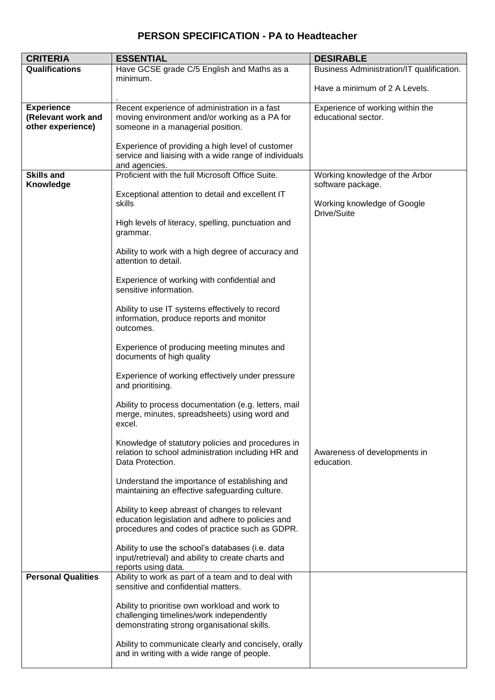# **PERSON SPECIFICATION - PA to Headteacher**

| <b>CRITERIA</b>           | <b>ESSENTIAL</b>                                                                                        | <b>DESIRABLE</b>                           |
|---------------------------|---------------------------------------------------------------------------------------------------------|--------------------------------------------|
| <b>Qualifications</b>     | Have GCSE grade C/5 English and Maths as a                                                              | Business Administration/IT qualification.  |
|                           | minimum.                                                                                                |                                            |
|                           |                                                                                                         | Have a minimum of 2 A Levels.              |
| <b>Experience</b>         | Recent experience of administration in a fast                                                           | Experience of working within the           |
| (Relevant work and        | moving environment and/or working as a PA for                                                           | educational sector.                        |
| other experience)         | someone in a managerial position.                                                                       |                                            |
|                           |                                                                                                         |                                            |
|                           | Experience of providing a high level of customer                                                        |                                            |
|                           | service and liaising with a wide range of individuals                                                   |                                            |
| <b>Skills and</b>         | and agencies.<br>Proficient with the full Microsoft Office Suite.                                       | Working knowledge of the Arbor             |
| Knowledge                 |                                                                                                         | software package.                          |
|                           | Exceptional attention to detail and excellent IT                                                        |                                            |
|                           | skills                                                                                                  | Working knowledge of Google                |
|                           |                                                                                                         | Drive/Suite                                |
|                           | High levels of literacy, spelling, punctuation and<br>grammar.                                          |                                            |
|                           |                                                                                                         |                                            |
|                           | Ability to work with a high degree of accuracy and                                                      |                                            |
|                           | attention to detail.                                                                                    |                                            |
|                           | Experience of working with confidential and                                                             |                                            |
|                           | sensitive information.                                                                                  |                                            |
|                           |                                                                                                         |                                            |
|                           | Ability to use IT systems effectively to record                                                         |                                            |
|                           | information, produce reports and monitor                                                                |                                            |
|                           | outcomes.                                                                                               |                                            |
|                           | Experience of producing meeting minutes and                                                             |                                            |
|                           | documents of high quality                                                                               |                                            |
|                           |                                                                                                         |                                            |
|                           | Experience of working effectively under pressure                                                        |                                            |
|                           | and prioritising.                                                                                       |                                            |
|                           | Ability to process documentation (e.g. letters, mail                                                    |                                            |
|                           | merge, minutes, spreadsheets) using word and                                                            |                                            |
|                           | excel.                                                                                                  |                                            |
|                           |                                                                                                         |                                            |
|                           | Knowledge of statutory policies and procedures in<br>relation to school administration including HR and |                                            |
|                           | Data Protection.                                                                                        | Awareness of developments in<br>education. |
|                           |                                                                                                         |                                            |
|                           | Understand the importance of establishing and                                                           |                                            |
|                           | maintaining an effective safeguarding culture.                                                          |                                            |
|                           | Ability to keep abreast of changes to relevant                                                          |                                            |
|                           | education legislation and adhere to policies and                                                        |                                            |
|                           | procedures and codes of practice such as GDPR.                                                          |                                            |
|                           |                                                                                                         |                                            |
|                           | Ability to use the school's databases (i.e. data                                                        |                                            |
|                           | input/retrieval) and ability to create charts and                                                       |                                            |
| <b>Personal Qualities</b> | reports using data.<br>Ability to work as part of a team and to deal with                               |                                            |
|                           | sensitive and confidential matters.                                                                     |                                            |
|                           |                                                                                                         |                                            |
|                           | Ability to prioritise own workload and work to                                                          |                                            |
|                           | challenging timelines/work independently<br>demonstrating strong organisational skills.                 |                                            |
|                           |                                                                                                         |                                            |
|                           | Ability to communicate clearly and concisely, orally                                                    |                                            |
|                           | and in writing with a wide range of people.                                                             |                                            |
|                           |                                                                                                         |                                            |